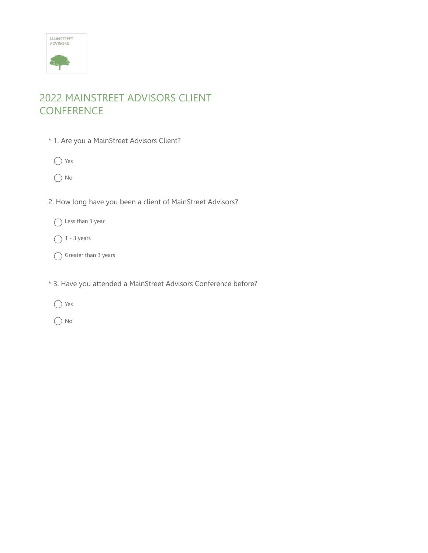

# 2022 MAINSTREET ADVISORS CLIENT **CONFERENCE**

- \* 1. Are you a MainStreet Advisors Client?
	- ◯ Yes
	- $\bigcap$  No
- 2. How long have you been a client of MainStreet Advisors?
	- ◯ Less than 1 year
	- $\bigcap$  1 3 years
	- $\bigcap$  Greater than 3 years
- \* 3. Have you attended a MainStreet Advisors Conference before?
	- ◯ Yes
	- $\bigcap$  No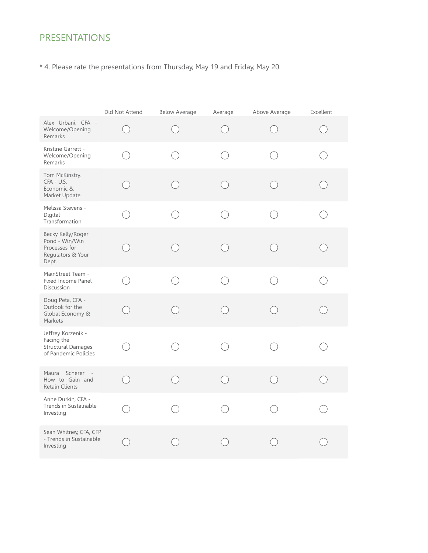## **PRESENTATIONS**

\* 4. Please rate the presentations from Thursday, May 19 and Friday, May 20.

|                                                                                       | Did Not Attend                              | <b>Below Average</b> | Average | Above Average | Excellent |
|---------------------------------------------------------------------------------------|---------------------------------------------|----------------------|---------|---------------|-----------|
| Alex Urbani, CFA -<br>Welcome/Opening<br>Remarks                                      | $\left(\begin{array}{c} \end{array}\right)$ |                      |         |               |           |
| Kristine Garrett -<br>Welcome/Opening<br>Remarks                                      |                                             |                      |         |               |           |
| Tom McKinstry,<br>CFA - U.S.<br>Economic &<br>Market Update                           |                                             |                      |         |               |           |
| Melissa Stevens -<br>Digital<br>Transformation                                        |                                             |                      |         |               |           |
| Becky Kelly/Roger<br>Pond - Win/Win<br>Processes for<br>Regulators & Your<br>Dept.    |                                             |                      |         |               |           |
| MainStreet Team -<br>Fixed Income Panel<br>Discussion                                 |                                             |                      |         |               |           |
| Doug Peta, CFA -<br>Outlook for the<br>Global Economy &<br>Markets                    |                                             |                      |         |               |           |
| Jeffrey Korzenik -<br>Facing the<br><b>Structural Damages</b><br>of Pandemic Policies |                                             |                      |         |               |           |
| Maura Scherer<br>How to Gain and<br><b>Retain Clients</b>                             | $\bigcirc$                                  |                      | ◯       |               |           |
| Anne Durkin, CFA -<br>Trends in Sustainable<br>Investing                              |                                             |                      |         |               |           |
| Sean Whitney, CFA, CFP<br>- Trends in Sustainable<br>Investing                        |                                             |                      |         |               |           |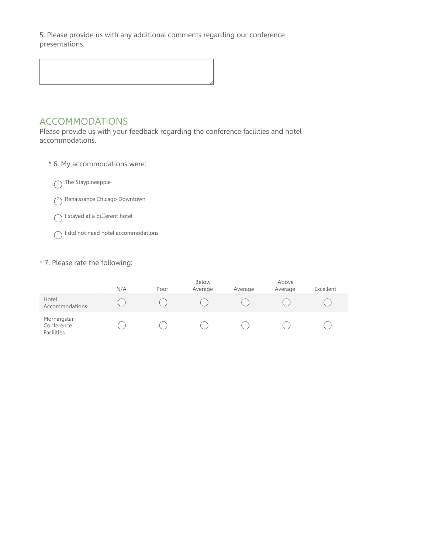5. Please provide us with any additional comments regarding our conference presentations.

## **ACCOMMODATIONS**

Please provide us with your feedback regarding the conference facilities and hotel accommodations.

- \* 6. My accommodations were:
	- $\bigcap$  The Staypineapple
	- ◯ Renaissance Chicago Downtown
	- $\bigcap$  I stayed at a different hotel
	- ◯ I did not need hotel accommodations

#### \* 7. Please rate the following:

|                                         | N/A | Poor | Below<br>Average | Average | Above<br>Average | Excellent |
|-----------------------------------------|-----|------|------------------|---------|------------------|-----------|
| Hotel<br>Accommodations                 |     |      |                  |         |                  |           |
| Morningstar<br>Conference<br>Facilities |     |      |                  |         |                  |           |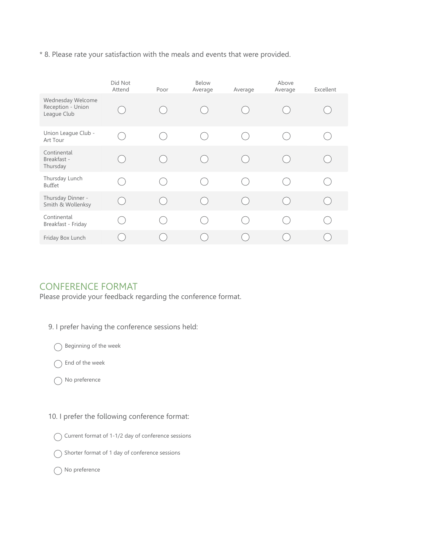\* 8. Please rate your satisfaction with the meals and events that were provided.

|                                                       | Did Not<br>Attend | Poor          | Below<br>Average         | Average       | Above<br>Average                            | Excellent                                   |
|-------------------------------------------------------|-------------------|---------------|--------------------------|---------------|---------------------------------------------|---------------------------------------------|
| Wednesday Welcome<br>Reception - Union<br>League Club |                   |               |                          |               |                                             |                                             |
| Union League Club -<br>Art Tour                       |                   |               |                          |               |                                             |                                             |
| Continental<br>Breakfast -<br>Thursday                |                   |               | h.                       |               |                                             |                                             |
| Thursday Lunch<br>Buffet                              |                   | $\mathcal{L}$ | $\sim$                   | $\mathcal{L}$ | .,                                          |                                             |
| Thursday Dinner -<br>Smith & Wollenksy                |                   | $\mathcal{L}$ | $\overline{\phantom{a}}$ | E.            | $\left(\begin{array}{c} \end{array}\right)$ | $\begin{matrix} \cdot & \cdot \end{matrix}$ |
| Continental<br>Breakfast - Friday                     |                   | n.            | gerti i                  | $\mathcal{L}$ | $\mathcal{L}$                               | n.                                          |
| Friday Box Lunch                                      |                   |               |                          |               |                                             |                                             |

### **CONFERENCE FORMAT**

Please provide your feedback regarding the conference format.

- 9. I prefer having the conference sessions held:
	- $\bigcap$  Beginning of the week
	- $\bigcap$  End of the week
	- $\bigcap$  No preference
- 10. I prefer the following conference format:
	- ◯ Current format of 1-1/2 day of conference sessions
	- ◯ Shorter format of 1 day of conference sessions
	- ◯ No preference